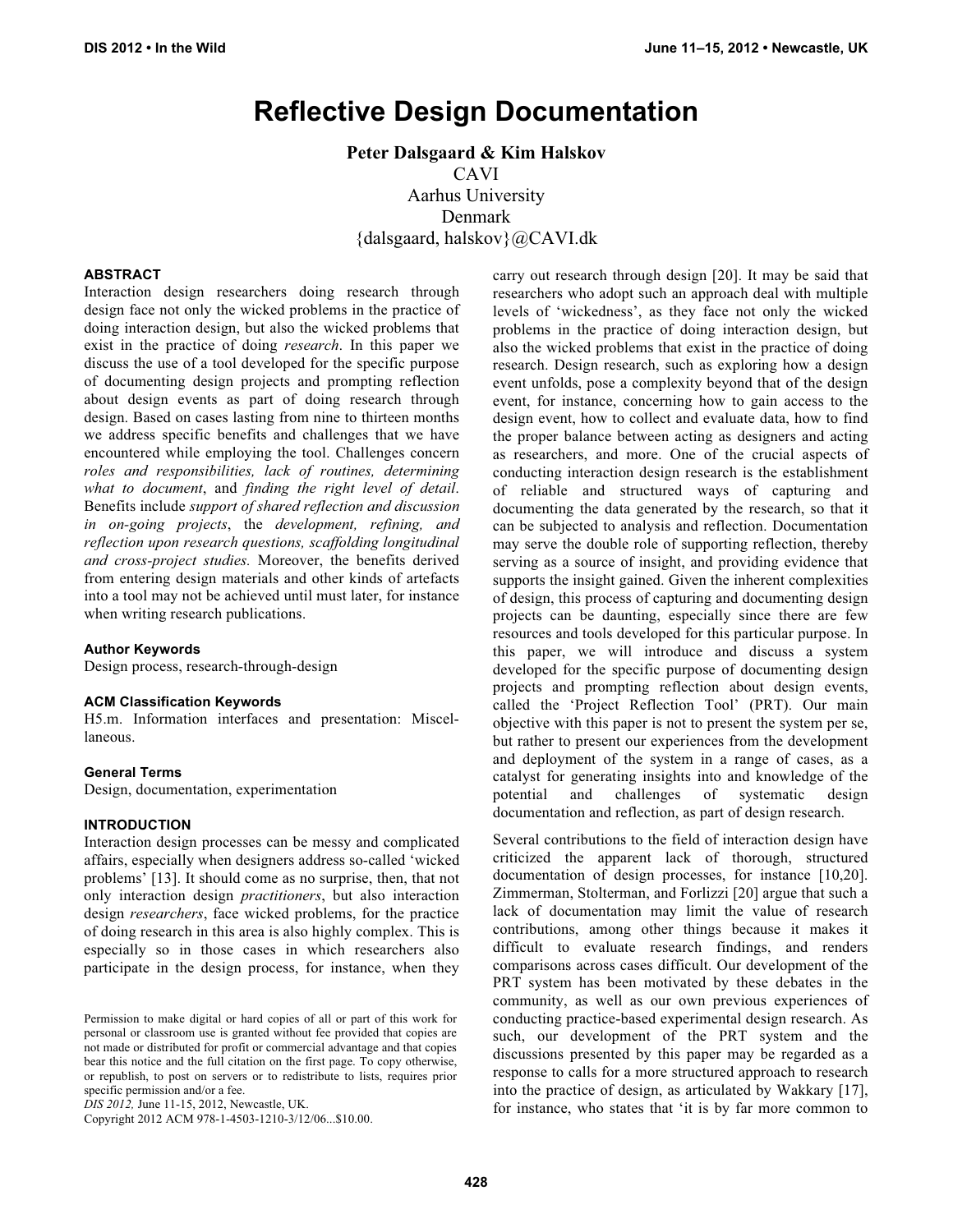# **Reflective Design Documentation**

**Peter Dalsgaard & Kim Halskov**  CAVI Aarhus University Denmark {dalsgaard, halskov}@CAVI.dk

## **ABSTRACT**

Interaction design researchers doing research through design face not only the wicked problems in the practice of doing interaction design, but also the wicked problems that exist in the practice of doing *research*. In this paper we discuss the use of a tool developed for the specific purpose of documenting design projects and prompting reflection about design events as part of doing research through design. Based on cases lasting from nine to thirteen months we address specific benefits and challenges that we have encountered while employing the tool. Challenges concern *roles and responsibilities, lack of routines, determining what to document*, and *finding the right level of detail*. Benefits include *support of shared reflection and discussion in on-going projects*, the *development, refining, and reflection upon research questions, scaffolding longitudinal and cross-project studies.* Moreover, the benefits derived from entering design materials and other kinds of artefacts into a tool may not be achieved until must later, for instance when writing research publications.

#### **Author Keywords**

Design process, research-through-design

## **ACM Classification Keywords**

H5.m. Information interfaces and presentation: Miscellaneous.

#### **General Terms**

Design, documentation, experimentation

# **INTRODUCTION**

Interaction design processes can be messy and complicated affairs, especially when designers address so-called 'wicked problems' [13]. It should come as no surprise, then, that not only interaction design *practitioners*, but also interaction design *researchers*, face wicked problems, for the practice of doing research in this area is also highly complex. This is especially so in those cases in which researchers also participate in the design process, for instance, when they

*DIS 2012,* June 11-15, 2012, Newcastle, UK.

Copyright 2012 ACM 978-1-4503-1210-3/12/06...\$10.00.

carry out research through design [20]. It may be said that researchers who adopt such an approach deal with multiple levels of 'wickedness', as they face not only the wicked problems in the practice of doing interaction design, but also the wicked problems that exist in the practice of doing research. Design research, such as exploring how a design event unfolds, pose a complexity beyond that of the design event, for instance, concerning how to gain access to the design event, how to collect and evaluate data, how to find the proper balance between acting as designers and acting as researchers, and more. One of the crucial aspects of conducting interaction design research is the establishment of reliable and structured ways of capturing and documenting the data generated by the research, so that it can be subjected to analysis and reflection. Documentation may serve the double role of supporting reflection, thereby serving as a source of insight, and providing evidence that supports the insight gained. Given the inherent complexities of design, this process of capturing and documenting design projects can be daunting, especially since there are few resources and tools developed for this particular purpose. In this paper, we will introduce and discuss a system developed for the specific purpose of documenting design projects and prompting reflection about design events, called the 'Project Reflection Tool' (PRT). Our main objective with this paper is not to present the system per se, but rather to present our experiences from the development and deployment of the system in a range of cases, as a catalyst for generating insights into and knowledge of the potential and challenges of systematic design documentation and reflection, as part of design research.

Several contributions to the field of interaction design have criticized the apparent lack of thorough, structured documentation of design processes, for instance [10,20]. Zimmerman, Stolterman, and Forlizzi [20] argue that such a lack of documentation may limit the value of research contributions, among other things because it makes it difficult to evaluate research findings, and renders comparisons across cases difficult. Our development of the PRT system has been motivated by these debates in the community, as well as our own previous experiences of conducting practice-based experimental design research. As such, our development of the PRT system and the discussions presented by this paper may be regarded as a response to calls for a more structured approach to research into the practice of design, as articulated by Wakkary [17], for instance, who states that 'it is by far more common to

Permission to make digital or hard copies of all or part of this work for personal or classroom use is granted without fee provided that copies are not made or distributed for profit or commercial advantage and that copies bear this notice and the full citation on the first page. To copy otherwise, or republish, to post on servers or to redistribute to lists, requires prior specific permission and/or a fee.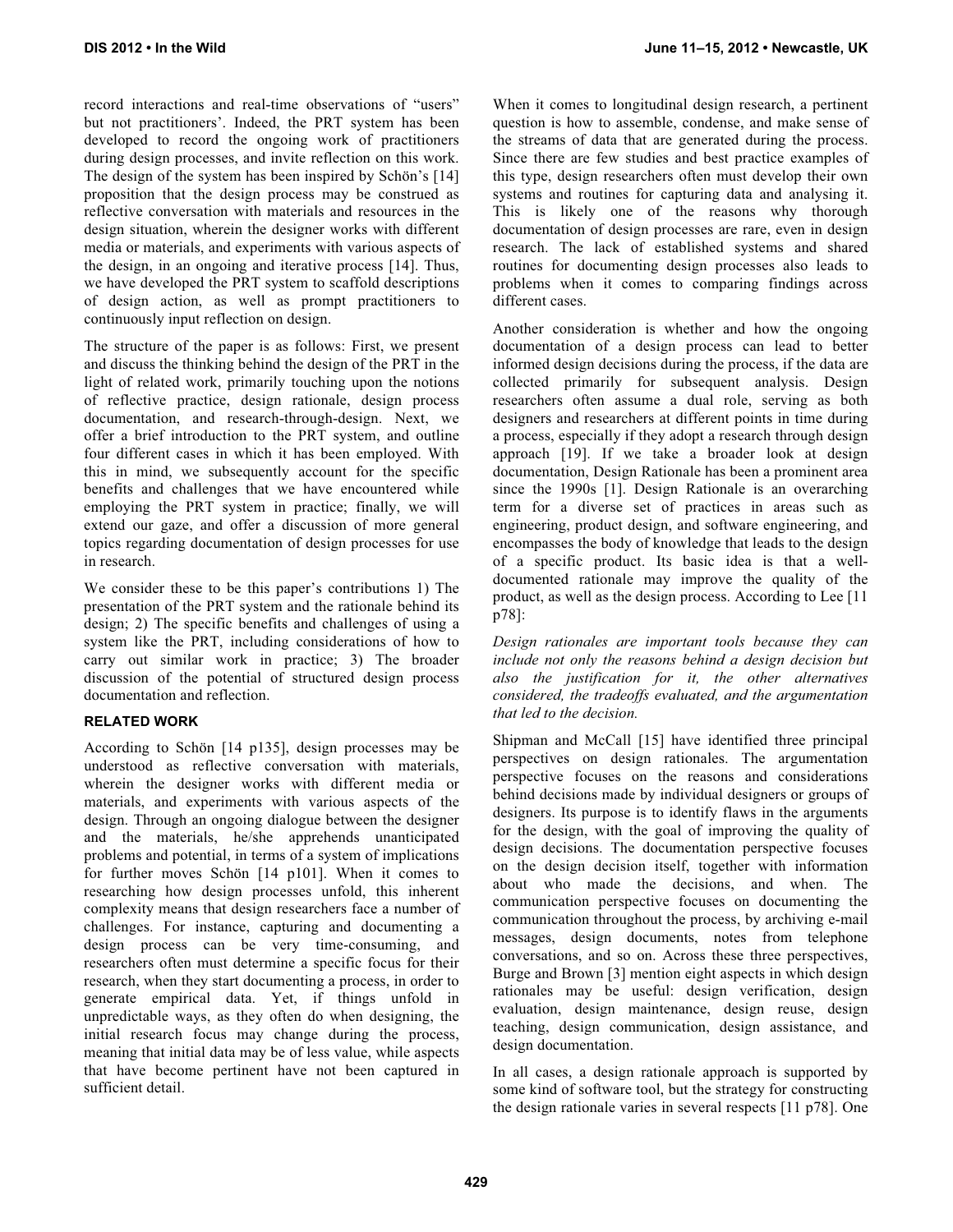record interactions and real-time observations of "users" but not practitioners'. Indeed, the PRT system has been developed to record the ongoing work of practitioners during design processes, and invite reflection on this work. The design of the system has been inspired by Schön's [14] proposition that the design process may be construed as reflective conversation with materials and resources in the design situation, wherein the designer works with different media or materials, and experiments with various aspects of the design, in an ongoing and iterative process [14]. Thus, we have developed the PRT system to scaffold descriptions of design action, as well as prompt practitioners to continuously input reflection on design.

The structure of the paper is as follows: First, we present and discuss the thinking behind the design of the PRT in the light of related work, primarily touching upon the notions of reflective practice, design rationale, design process documentation, and research-through-design. Next, we offer a brief introduction to the PRT system, and outline four different cases in which it has been employed. With this in mind, we subsequently account for the specific benefits and challenges that we have encountered while employing the PRT system in practice; finally, we will extend our gaze, and offer a discussion of more general topics regarding documentation of design processes for use in research.

We consider these to be this paper's contributions 1) The presentation of the PRT system and the rationale behind its design; 2) The specific benefits and challenges of using a system like the PRT, including considerations of how to carry out similar work in practice; 3) The broader discussion of the potential of structured design process documentation and reflection.

# **RELATED WORK**

According to Schön [14 p135], design processes may be understood as reflective conversation with materials, wherein the designer works with different media or materials, and experiments with various aspects of the design. Through an ongoing dialogue between the designer and the materials, he/she apprehends unanticipated problems and potential, in terms of a system of implications for further moves Schön [14 p101]. When it comes to researching how design processes unfold, this inherent complexity means that design researchers face a number of challenges. For instance, capturing and documenting a design process can be very time-consuming, and researchers often must determine a specific focus for their research, when they start documenting a process, in order to generate empirical data. Yet, if things unfold in unpredictable ways, as they often do when designing, the initial research focus may change during the process, meaning that initial data may be of less value, while aspects that have become pertinent have not been captured in sufficient detail.

When it comes to longitudinal design research, a pertinent question is how to assemble, condense, and make sense of the streams of data that are generated during the process. Since there are few studies and best practice examples of this type, design researchers often must develop their own systems and routines for capturing data and analysing it. This is likely one of the reasons why thorough documentation of design processes are rare, even in design research. The lack of established systems and shared routines for documenting design processes also leads to problems when it comes to comparing findings across different cases.

Another consideration is whether and how the ongoing documentation of a design process can lead to better informed design decisions during the process, if the data are collected primarily for subsequent analysis. Design researchers often assume a dual role, serving as both designers and researchers at different points in time during a process, especially if they adopt a research through design approach [19]. If we take a broader look at design documentation, Design Rationale has been a prominent area since the 1990s [1]. Design Rationale is an overarching term for a diverse set of practices in areas such as engineering, product design, and software engineering, and encompasses the body of knowledge that leads to the design of a specific product. Its basic idea is that a welldocumented rationale may improve the quality of the product, as well as the design process. According to Lee [11 p78]:

*Design rationales are important tools because they can include not only the reasons behind a design decision but also the justification for it, the other alternatives considered, the tradeoffs evaluated, and the argumentation that led to the decision.* 

Shipman and McCall [15] have identified three principal perspectives on design rationales. The argumentation perspective focuses on the reasons and considerations behind decisions made by individual designers or groups of designers. Its purpose is to identify flaws in the arguments for the design, with the goal of improving the quality of design decisions. The documentation perspective focuses on the design decision itself, together with information about who made the decisions, and when. The communication perspective focuses on documenting the communication throughout the process, by archiving e-mail messages, design documents, notes from telephone conversations, and so on. Across these three perspectives, Burge and Brown [3] mention eight aspects in which design rationales may be useful: design verification, design evaluation, design maintenance, design reuse, design teaching, design communication, design assistance, and design documentation.

In all cases, a design rationale approach is supported by some kind of software tool, but the strategy for constructing the design rationale varies in several respects [11 p78]. One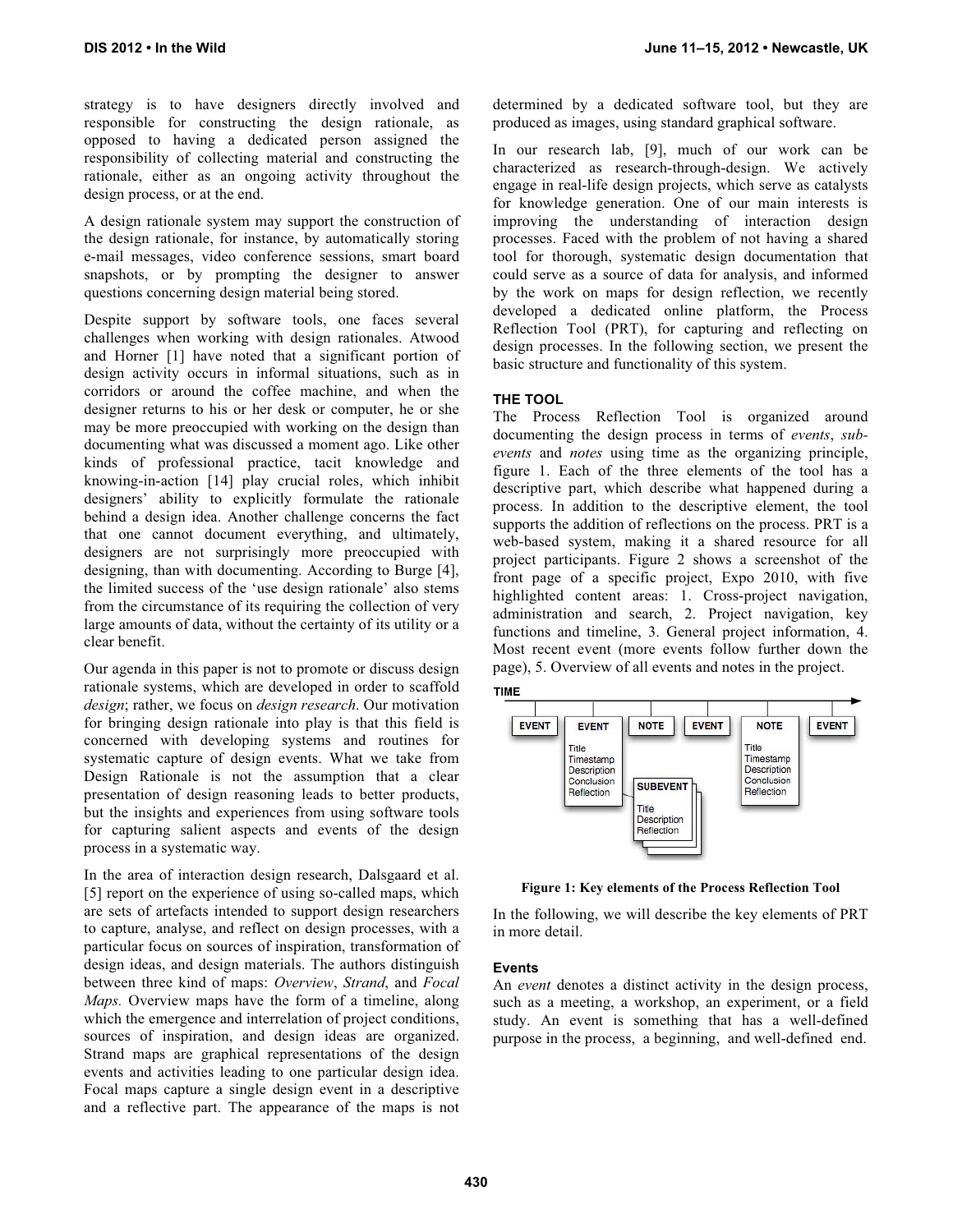strategy is to have designers directly involved and responsible for constructing the design rationale, as opposed to having a dedicated person assigned the responsibility of collecting material and constructing the rationale, either as an ongoing activity throughout the design process, or at the end.

A design rationale system may support the construction of the design rationale, for instance, by automatically storing e-mail messages, video conference sessions, smart board snapshots, or by prompting the designer to answer questions concerning design material being stored.

Despite support by software tools, one faces several challenges when working with design rationales. Atwood and Horner [1] have noted that a significant portion of design activity occurs in informal situations, such as in corridors or around the coffee machine, and when the designer returns to his or her desk or computer, he or she may be more preoccupied with working on the design than documenting what was discussed a moment ago. Like other kinds of professional practice, tacit knowledge and knowing-in-action [14] play crucial roles, which inhibit designers' ability to explicitly formulate the rationale behind a design idea. Another challenge concerns the fact that one cannot document everything, and ultimately, designers are not surprisingly more preoccupied with designing, than with documenting. According to Burge [4], the limited success of the 'use design rationale' also stems from the circumstance of its requiring the collection of very large amounts of data, without the certainty of its utility or a clear benefit.

Our agenda in this paper is not to promote or discuss design rationale systems, which are developed in order to scaffold *design*; rather, we focus on *design research*. Our motivation for bringing design rationale into play is that this field is concerned with developing systems and routines for systematic capture of design events. What we take from Design Rationale is not the assumption that a clear presentation of design reasoning leads to better products, but the insights and experiences from using software tools for capturing salient aspects and events of the design process in a systematic way.

In the area of interaction design research, Dalsgaard et al. [5] report on the experience of using so-called maps, which are sets of artefacts intended to support design researchers to capture, analyse, and reflect on design processes, with a particular focus on sources of inspiration, transformation of design ideas, and design materials. The authors distinguish between three kind of maps: *Overview*, *Strand*, and *Focal Maps.* Overview maps have the form of a timeline, along which the emergence and interrelation of project conditions, sources of inspiration, and design ideas are organized. Strand maps are graphical representations of the design events and activities leading to one particular design idea. Focal maps capture a single design event in a descriptive and a reflective part. The appearance of the maps is not determined by a dedicated software tool, but they are produced as images, using standard graphical software.

In our research lab, [9], much of our work can be characterized as research-through-design. We actively engage in real-life design projects, which serve as catalysts for knowledge generation. One of our main interests is improving the understanding of interaction design processes. Faced with the problem of not having a shared tool for thorough, systematic design documentation that could serve as a source of data for analysis, and informed by the work on maps for design reflection, we recently developed a dedicated online platform, the Process Reflection Tool (PRT), for capturing and reflecting on design processes. In the following section, we present the basic structure and functionality of this system.

## **THE TOOL**

The Process Reflection Tool is organized around documenting the design process in terms of *events*, *subevents* and *notes* using time as the organizing principle, figure 1. Each of the three elements of the tool has a descriptive part, which describe what happened during a process. In addition to the descriptive element, the tool supports the addition of reflections on the process. PRT is a web-based system, making it a shared resource for all project participants. Figure 2 shows a screenshot of the front page of a specific project, Expo 2010, with five highlighted content areas: 1. Cross-project navigation, administration and search, 2. Project navigation, key functions and timeline, 3. General project information, 4. Most recent event (more events follow further down the page), 5. Overview of all events and notes in the project.



**Figure 1: Key elements of the Process Reflection Tool**

In the following, we will describe the key elements of PRT in more detail.

#### **Events**

An *event* denotes a distinct activity in the design process, such as a meeting, a workshop, an experiment, or a field study. An event is something that has a well-defined purpose in the process, a beginning, and well-defined end.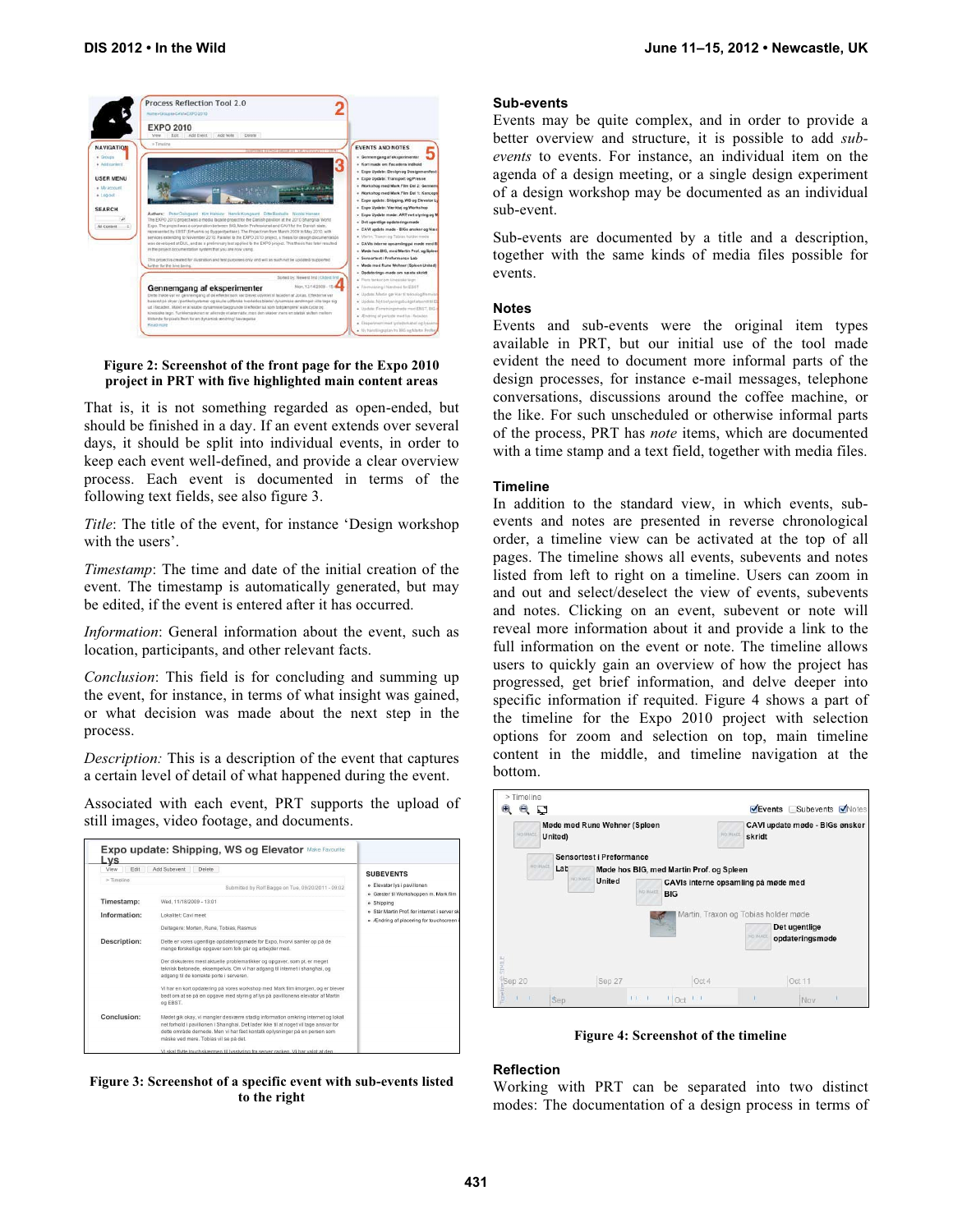

#### **Figure 2: Screenshot of the front page for the Expo 2010 project in PRT with five highlighted main content areas**

That is, it is not something regarded as open-ended, but should be finished in a day. If an event extends over several days, it should be split into individual events, in order to keep each event well-defined, and provide a clear overview process. Each event is documented in terms of the following text fields, see also figure 3.

*Title*: The title of the event, for instance 'Design workshop' with the users'.

*Timestamp*: The time and date of the initial creation of the event. The timestamp is automatically generated, but may be edited, if the event is entered after it has occurred.

*Information*: General information about the event, such as location, participants, and other relevant facts.

*Conclusion*: This field is for concluding and summing up the event, for instance, in terms of what insight was gained, or what decision was made about the next step in the process.

*Description:* This is a description of the event that captures a certain level of detail of what happened during the event.

Associated with each event, PRT supports the upload of still images, video footage, and documents.



**Figure 3: Screenshot of a specific event with sub-events listed to the right** 

#### **Sub-events**

Events may be quite complex, and in order to provide a better overview and structure, it is possible to add *subevents* to events. For instance, an individual item on the agenda of a design meeting, or a single design experiment of a design workshop may be documented as an individual sub-event.

Sub-events are documented by a title and a description, together with the same kinds of media files possible for events.

## **Notes**

Events and sub-events were the original item types available in PRT, but our initial use of the tool made evident the need to document more informal parts of the design processes, for instance e-mail messages, telephone conversations, discussions around the coffee machine, or the like. For such unscheduled or otherwise informal parts of the process, PRT has *note* items, which are documented with a time stamp and a text field, together with media files.

#### **Timeline**

In addition to the standard view, in which events, subevents and notes are presented in reverse chronological order, a timeline view can be activated at the top of all pages. The timeline shows all events, subevents and notes listed from left to right on a timeline. Users can zoom in and out and select/deselect the view of events, subevents and notes. Clicking on an event, subevent or note will reveal more information about it and provide a link to the full information on the event or note. The timeline allows users to quickly gain an overview of how the project has progressed, get brief information, and delve deeper into specific information if requited. Figure 4 shows a part of the timeline for the Expo 2010 project with selection options for zoom and selection on top, main timeline content in the middle, and timeline navigation at the bottom.



**Figure 4: Screenshot of the timeline**

#### **Reflection**

Working with PRT can be separated into two distinct modes: The documentation of a design process in terms of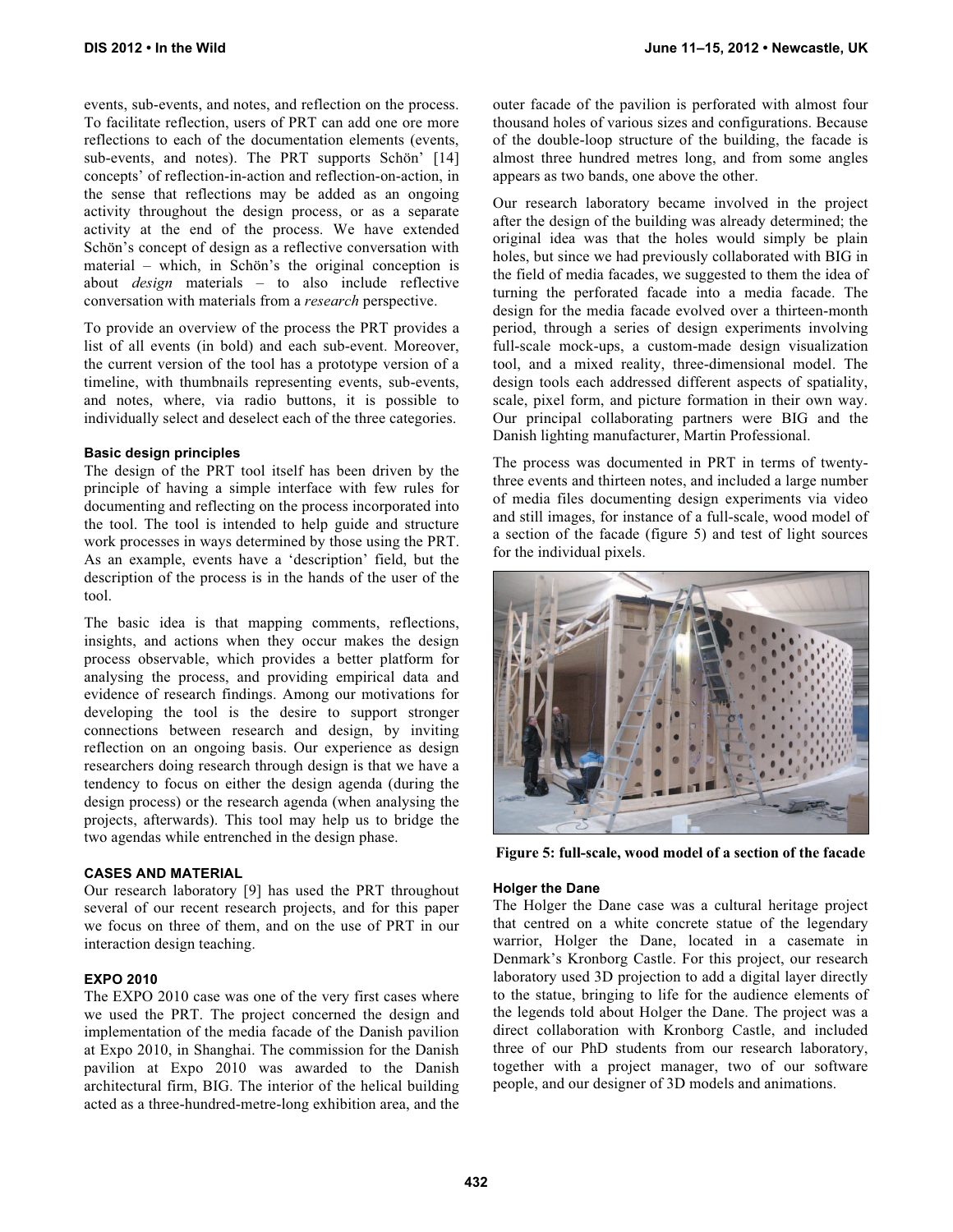events, sub-events, and notes, and reflection on the process. To facilitate reflection, users of PRT can add one ore more reflections to each of the documentation elements (events, sub-events, and notes). The PRT supports Schön' [14] concepts' of reflection-in-action and reflection-on-action, in the sense that reflections may be added as an ongoing activity throughout the design process, or as a separate activity at the end of the process. We have extended Schön's concept of design as a reflective conversation with material – which, in Schön's the original conception is about *design* materials – to also include reflective conversation with materials from a *research* perspective.

To provide an overview of the process the PRT provides a list of all events (in bold) and each sub-event. Moreover, the current version of the tool has a prototype version of a timeline, with thumbnails representing events, sub-events, and notes, where, via radio buttons, it is possible to individually select and deselect each of the three categories.

#### **Basic design principles**

The design of the PRT tool itself has been driven by the principle of having a simple interface with few rules for documenting and reflecting on the process incorporated into the tool. The tool is intended to help guide and structure work processes in ways determined by those using the PRT. As an example, events have a 'description' field, but the description of the process is in the hands of the user of the tool.

The basic idea is that mapping comments, reflections, insights, and actions when they occur makes the design process observable, which provides a better platform for analysing the process, and providing empirical data and evidence of research findings. Among our motivations for developing the tool is the desire to support stronger connections between research and design, by inviting reflection on an ongoing basis. Our experience as design researchers doing research through design is that we have a tendency to focus on either the design agenda (during the design process) or the research agenda (when analysing the projects, afterwards). This tool may help us to bridge the two agendas while entrenched in the design phase.

# **CASES AND MATERIAL**

Our research laboratory [9] has used the PRT throughout several of our recent research projects, and for this paper we focus on three of them, and on the use of PRT in our interaction design teaching.

# **EXPO 2010**

The EXPO 2010 case was one of the very first cases where we used the PRT. The project concerned the design and implementation of the media facade of the Danish pavilion at Expo 2010, in Shanghai. The commission for the Danish pavilion at Expo 2010 was awarded to the Danish architectural firm, BIG. The interior of the helical building acted as a three-hundred-metre-long exhibition area, and the outer facade of the pavilion is perforated with almost four thousand holes of various sizes and configurations. Because of the double-loop structure of the building, the facade is almost three hundred metres long, and from some angles appears as two bands, one above the other.

Our research laboratory became involved in the project after the design of the building was already determined; the original idea was that the holes would simply be plain holes, but since we had previously collaborated with BIG in the field of media facades, we suggested to them the idea of turning the perforated facade into a media facade. The design for the media facade evolved over a thirteen-month period, through a series of design experiments involving full-scale mock-ups, a custom-made design visualization tool, and a mixed reality, three-dimensional model. The design tools each addressed different aspects of spatiality, scale, pixel form, and picture formation in their own way. Our principal collaborating partners were BIG and the Danish lighting manufacturer, Martin Professional.

The process was documented in PRT in terms of twentythree events and thirteen notes, and included a large number of media files documenting design experiments via video and still images, for instance of a full-scale, wood model of a section of the facade (figure 5) and test of light sources for the individual pixels.



**Figure 5: full-scale, wood model of a section of the facade** 

#### **Holger the Dane**

The Holger the Dane case was a cultural heritage project that centred on a white concrete statue of the legendary warrior, Holger the Dane, located in a casemate in Denmark's Kronborg Castle. For this project, our research laboratory used 3D projection to add a digital layer directly to the statue, bringing to life for the audience elements of the legends told about Holger the Dane. The project was a direct collaboration with Kronborg Castle, and included three of our PhD students from our research laboratory, together with a project manager, two of our software people, and our designer of 3D models and animations.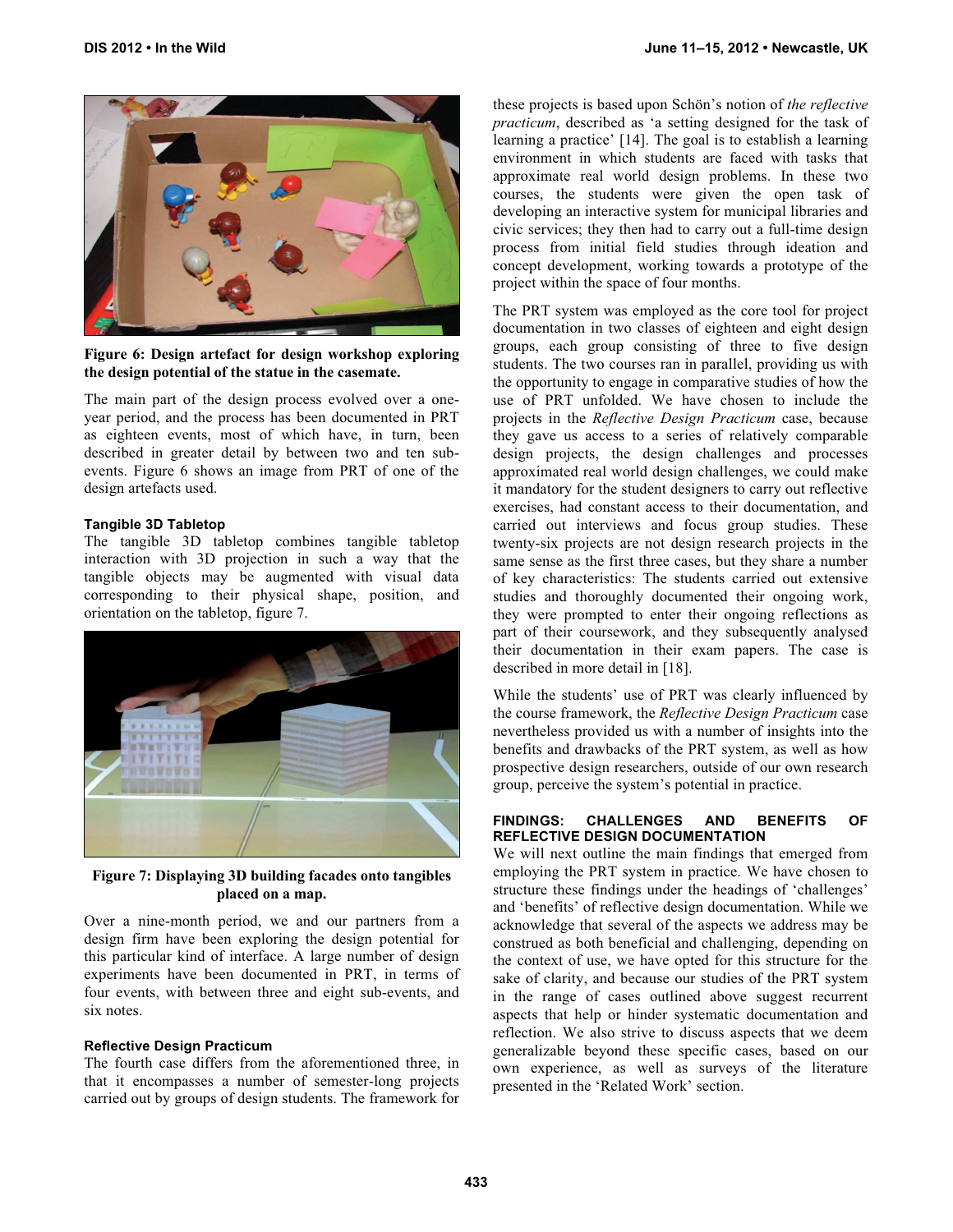

**Figure 6: Design artefact for design workshop exploring the design potential of the statue in the casemate.**

The main part of the design process evolved over a oneyear period, and the process has been documented in PRT as eighteen events, most of which have, in turn, been described in greater detail by between two and ten subevents. Figure 6 shows an image from PRT of one of the design artefacts used.

# **Tangible 3D Tabletop**

The tangible 3D tabletop combines tangible tabletop interaction with 3D projection in such a way that the tangible objects may be augmented with visual data corresponding to their physical shape, position, and orientation on the tabletop, figure 7.



**Figure 7: Displaying 3D building facades onto tangibles placed on a map.** 

Over a nine-month period, we and our partners from a design firm have been exploring the design potential for this particular kind of interface. A large number of design experiments have been documented in PRT, in terms of four events, with between three and eight sub-events, and six notes.

#### **Reflective Design Practicum**

The fourth case differs from the aforementioned three, in that it encompasses a number of semester-long projects carried out by groups of design students. The framework for these projects is based upon Schön's notion of *the reflective practicum*, described as 'a setting designed for the task of learning a practice' [14]. The goal is to establish a learning environment in which students are faced with tasks that approximate real world design problems. In these two courses, the students were given the open task of developing an interactive system for municipal libraries and civic services; they then had to carry out a full-time design process from initial field studies through ideation and concept development, working towards a prototype of the project within the space of four months.

The PRT system was employed as the core tool for project documentation in two classes of eighteen and eight design groups, each group consisting of three to five design students. The two courses ran in parallel, providing us with the opportunity to engage in comparative studies of how the use of PRT unfolded. We have chosen to include the projects in the *Reflective Design Practicum* case, because they gave us access to a series of relatively comparable design projects, the design challenges and processes approximated real world design challenges, we could make it mandatory for the student designers to carry out reflective exercises, had constant access to their documentation, and carried out interviews and focus group studies. These twenty-six projects are not design research projects in the same sense as the first three cases, but they share a number of key characteristics: The students carried out extensive studies and thoroughly documented their ongoing work, they were prompted to enter their ongoing reflections as part of their coursework, and they subsequently analysed their documentation in their exam papers. The case is described in more detail in [18].

While the students' use of PRT was clearly influenced by the course framework, the *Reflective Design Practicum* case nevertheless provided us with a number of insights into the benefits and drawbacks of the PRT system, as well as how prospective design researchers, outside of our own research group, perceive the system's potential in practice.

#### **FINDINGS: CHALLENGES AND BENEFITS OF REFLECTIVE DESIGN DOCUMENTATION**

We will next outline the main findings that emerged from employing the PRT system in practice. We have chosen to structure these findings under the headings of 'challenges' and 'benefits' of reflective design documentation. While we acknowledge that several of the aspects we address may be construed as both beneficial and challenging, depending on the context of use, we have opted for this structure for the sake of clarity, and because our studies of the PRT system in the range of cases outlined above suggest recurrent aspects that help or hinder systematic documentation and reflection. We also strive to discuss aspects that we deem generalizable beyond these specific cases, based on our own experience, as well as surveys of the literature presented in the 'Related Work' section.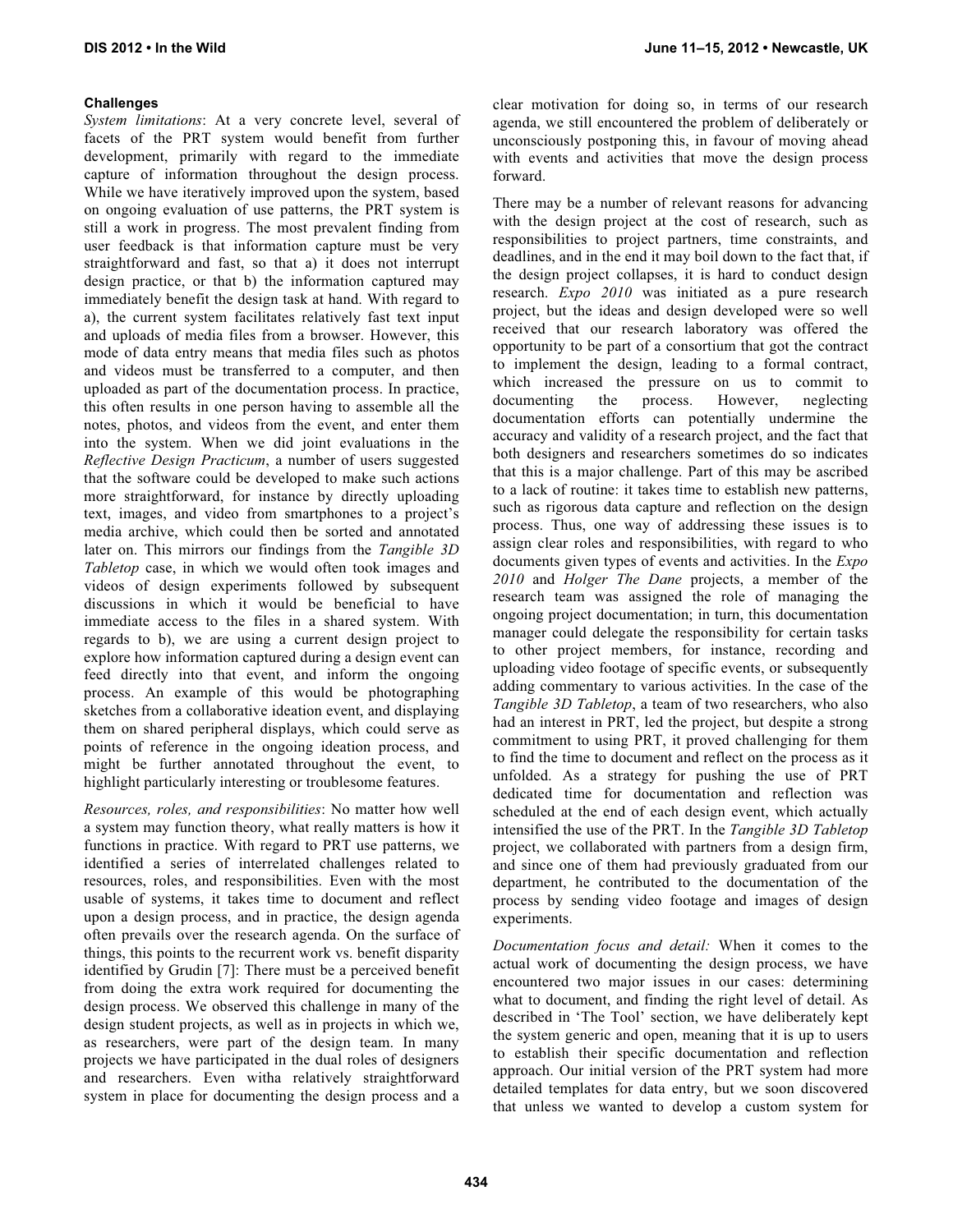## **Challenges**

*System limitations*: At a very concrete level, several of facets of the PRT system would benefit from further development, primarily with regard to the immediate capture of information throughout the design process. While we have iteratively improved upon the system, based on ongoing evaluation of use patterns, the PRT system is still a work in progress. The most prevalent finding from user feedback is that information capture must be very straightforward and fast, so that a) it does not interrupt design practice, or that b) the information captured may immediately benefit the design task at hand. With regard to a), the current system facilitates relatively fast text input and uploads of media files from a browser. However, this mode of data entry means that media files such as photos and videos must be transferred to a computer, and then uploaded as part of the documentation process. In practice, this often results in one person having to assemble all the notes, photos, and videos from the event, and enter them into the system. When we did joint evaluations in the *Reflective Design Practicum*, a number of users suggested that the software could be developed to make such actions more straightforward, for instance by directly uploading text, images, and video from smartphones to a project's media archive, which could then be sorted and annotated later on. This mirrors our findings from the *Tangible 3D Tabletop* case, in which we would often took images and videos of design experiments followed by subsequent discussions in which it would be beneficial to have immediate access to the files in a shared system. With regards to b), we are using a current design project to explore how information captured during a design event can feed directly into that event, and inform the ongoing process. An example of this would be photographing sketches from a collaborative ideation event, and displaying them on shared peripheral displays, which could serve as points of reference in the ongoing ideation process, and might be further annotated throughout the event, to highlight particularly interesting or troublesome features.

*Resources, roles, and responsibilities*: No matter how well a system may function theory, what really matters is how it functions in practice. With regard to PRT use patterns, we identified a series of interrelated challenges related to resources, roles, and responsibilities. Even with the most usable of systems, it takes time to document and reflect upon a design process, and in practice, the design agenda often prevails over the research agenda. On the surface of things, this points to the recurrent work vs. benefit disparity identified by Grudin [7]: There must be a perceived benefit from doing the extra work required for documenting the design process. We observed this challenge in many of the design student projects, as well as in projects in which we, as researchers, were part of the design team. In many projects we have participated in the dual roles of designers and researchers. Even witha relatively straightforward system in place for documenting the design process and a

clear motivation for doing so, in terms of our research agenda, we still encountered the problem of deliberately or unconsciously postponing this, in favour of moving ahead with events and activities that move the design process forward.

There may be a number of relevant reasons for advancing with the design project at the cost of research, such as responsibilities to project partners, time constraints, and deadlines, and in the end it may boil down to the fact that, if the design project collapses, it is hard to conduct design research. *Expo 2010* was initiated as a pure research project, but the ideas and design developed were so well received that our research laboratory was offered the opportunity to be part of a consortium that got the contract to implement the design, leading to a formal contract, which increased the pressure on us to commit to documenting the process. However, neglecting documentation efforts can potentially undermine the accuracy and validity of a research project, and the fact that both designers and researchers sometimes do so indicates that this is a major challenge. Part of this may be ascribed to a lack of routine: it takes time to establish new patterns, such as rigorous data capture and reflection on the design process. Thus, one way of addressing these issues is to assign clear roles and responsibilities, with regard to who documents given types of events and activities. In the *Expo 2010* and *Holger The Dane* projects, a member of the research team was assigned the role of managing the ongoing project documentation; in turn, this documentation manager could delegate the responsibility for certain tasks to other project members, for instance, recording and uploading video footage of specific events, or subsequently adding commentary to various activities. In the case of the *Tangible 3D Tabletop*, a team of two researchers, who also had an interest in PRT, led the project, but despite a strong commitment to using PRT, it proved challenging for them to find the time to document and reflect on the process as it unfolded. As a strategy for pushing the use of PRT dedicated time for documentation and reflection was scheduled at the end of each design event, which actually intensified the use of the PRT. In the *Tangible 3D Tabletop*  project, we collaborated with partners from a design firm, and since one of them had previously graduated from our department, he contributed to the documentation of the process by sending video footage and images of design experiments.

*Documentation focus and detail:* When it comes to the actual work of documenting the design process, we have encountered two major issues in our cases: determining what to document, and finding the right level of detail. As described in 'The Tool' section, we have deliberately kept the system generic and open, meaning that it is up to users to establish their specific documentation and reflection approach. Our initial version of the PRT system had more detailed templates for data entry, but we soon discovered that unless we wanted to develop a custom system for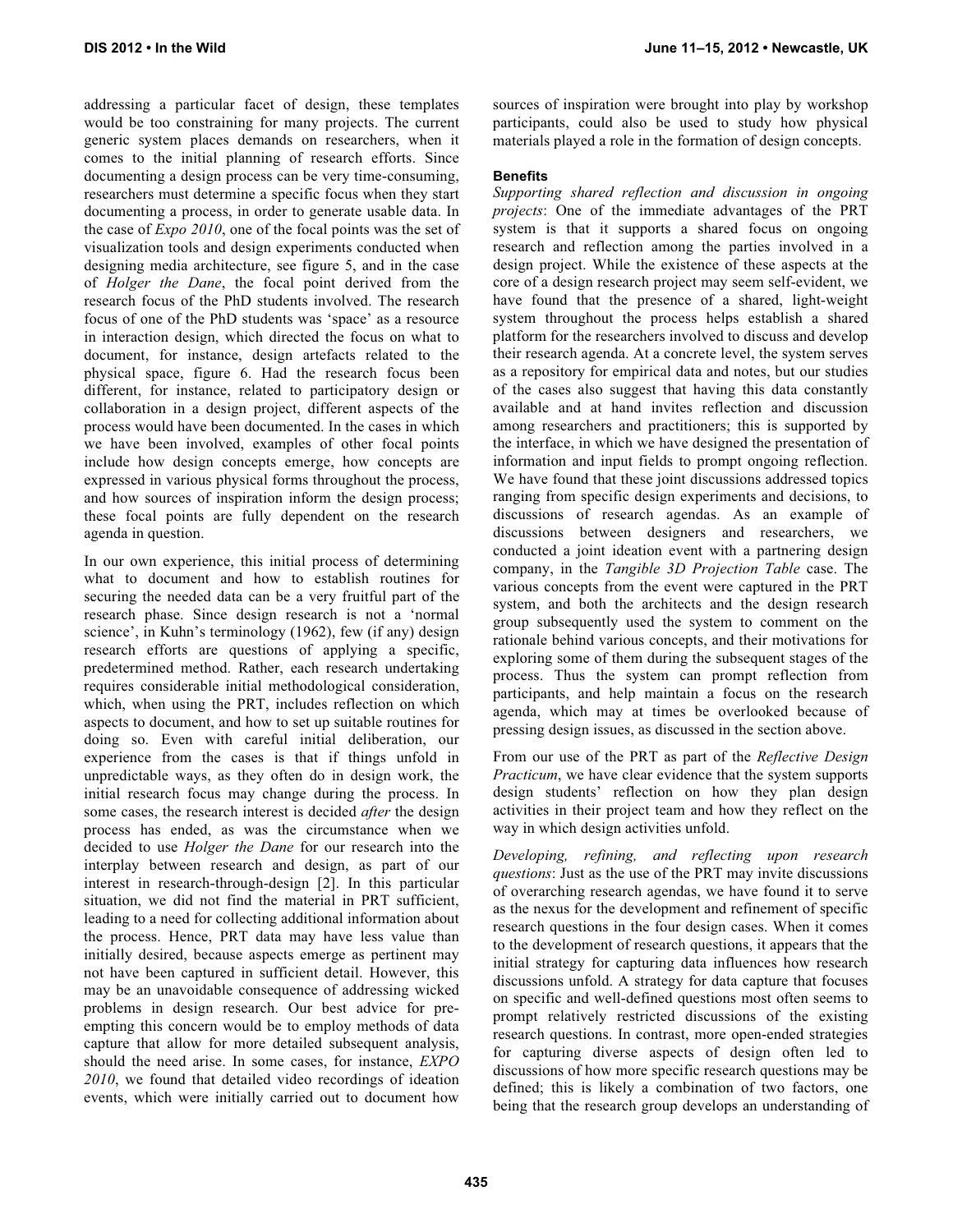addressing a particular facet of design, these templates would be too constraining for many projects. The current generic system places demands on researchers, when it comes to the initial planning of research efforts. Since documenting a design process can be very time-consuming, researchers must determine a specific focus when they start documenting a process, in order to generate usable data. In the case of *Expo 2010*, one of the focal points was the set of visualization tools and design experiments conducted when designing media architecture, see figure 5, and in the case of *Holger the Dane*, the focal point derived from the research focus of the PhD students involved. The research focus of one of the PhD students was 'space' as a resource in interaction design, which directed the focus on what to document, for instance, design artefacts related to the physical space, figure 6. Had the research focus been different, for instance, related to participatory design or collaboration in a design project, different aspects of the process would have been documented. In the cases in which we have been involved, examples of other focal points include how design concepts emerge, how concepts are expressed in various physical forms throughout the process, and how sources of inspiration inform the design process; these focal points are fully dependent on the research agenda in question.

In our own experience, this initial process of determining what to document and how to establish routines for securing the needed data can be a very fruitful part of the research phase. Since design research is not a 'normal science', in Kuhn's terminology (1962), few (if any) design research efforts are questions of applying a specific, predetermined method. Rather, each research undertaking requires considerable initial methodological consideration, which, when using the PRT, includes reflection on which aspects to document, and how to set up suitable routines for doing so. Even with careful initial deliberation, our experience from the cases is that if things unfold in unpredictable ways, as they often do in design work, the initial research focus may change during the process. In some cases, the research interest is decided *after* the design process has ended, as was the circumstance when we decided to use *Holger the Dane* for our research into the interplay between research and design, as part of our interest in research-through-design [2]. In this particular situation, we did not find the material in PRT sufficient, leading to a need for collecting additional information about the process. Hence, PRT data may have less value than initially desired, because aspects emerge as pertinent may not have been captured in sufficient detail. However, this may be an unavoidable consequence of addressing wicked problems in design research. Our best advice for preempting this concern would be to employ methods of data capture that allow for more detailed subsequent analysis, should the need arise. In some cases, for instance, *EXPO 2010*, we found that detailed video recordings of ideation events, which were initially carried out to document how

sources of inspiration were brought into play by workshop participants, could also be used to study how physical materials played a role in the formation of design concepts.

# **Benefits**

*Supporting shared reflection and discussion in ongoing projects*: One of the immediate advantages of the PRT system is that it supports a shared focus on ongoing research and reflection among the parties involved in a design project. While the existence of these aspects at the core of a design research project may seem self-evident, we have found that the presence of a shared, light-weight system throughout the process helps establish a shared platform for the researchers involved to discuss and develop their research agenda. At a concrete level, the system serves as a repository for empirical data and notes, but our studies of the cases also suggest that having this data constantly available and at hand invites reflection and discussion among researchers and practitioners; this is supported by the interface, in which we have designed the presentation of information and input fields to prompt ongoing reflection. We have found that these joint discussions addressed topics ranging from specific design experiments and decisions, to discussions of research agendas. As an example of discussions between designers and researchers, we conducted a joint ideation event with a partnering design company, in the *Tangible 3D Projection Table* case. The various concepts from the event were captured in the PRT system, and both the architects and the design research group subsequently used the system to comment on the rationale behind various concepts, and their motivations for exploring some of them during the subsequent stages of the process. Thus the system can prompt reflection from participants, and help maintain a focus on the research agenda, which may at times be overlooked because of pressing design issues, as discussed in the section above.

From our use of the PRT as part of the *Reflective Design Practicum*, we have clear evidence that the system supports design students' reflection on how they plan design activities in their project team and how they reflect on the way in which design activities unfold.

*Developing, refining, and reflecting upon research questions*: Just as the use of the PRT may invite discussions of overarching research agendas, we have found it to serve as the nexus for the development and refinement of specific research questions in the four design cases. When it comes to the development of research questions, it appears that the initial strategy for capturing data influences how research discussions unfold. A strategy for data capture that focuses on specific and well-defined questions most often seems to prompt relatively restricted discussions of the existing research questions. In contrast, more open-ended strategies for capturing diverse aspects of design often led to discussions of how more specific research questions may be defined; this is likely a combination of two factors, one being that the research group develops an understanding of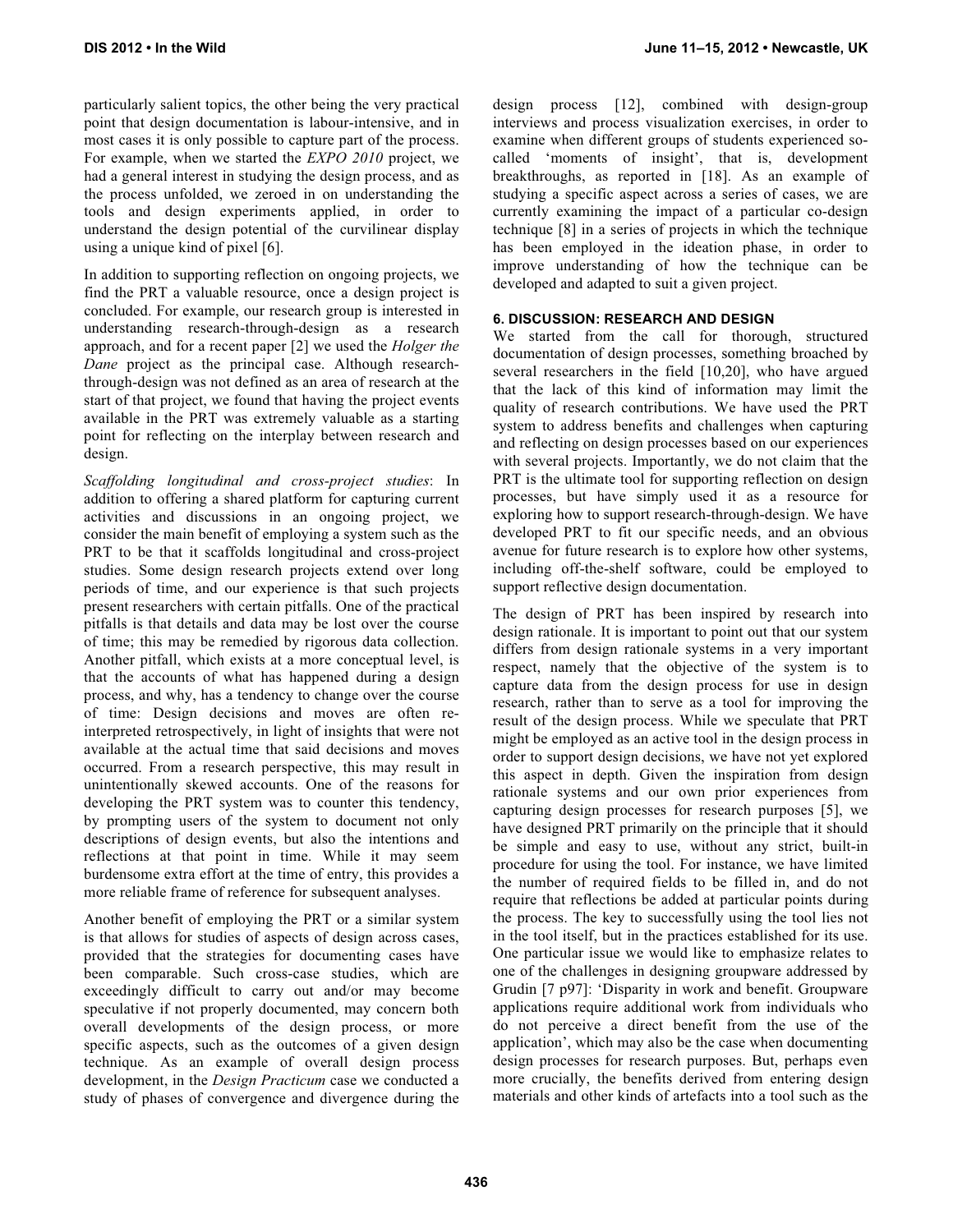**DIS 2012 • In the Wild June 11–15, 2012 • Newcastle, UK**

particularly salient topics, the other being the very practical point that design documentation is labour-intensive, and in most cases it is only possible to capture part of the process. For example, when we started the *EXPO 2010* project, we had a general interest in studying the design process, and as the process unfolded, we zeroed in on understanding the tools and design experiments applied, in order to understand the design potential of the curvilinear display using a unique kind of pixel [6].

In addition to supporting reflection on ongoing projects, we find the PRT a valuable resource, once a design project is concluded. For example, our research group is interested in understanding research-through-design as a research approach, and for a recent paper [2] we used the *Holger the Dane* project as the principal case. Although researchthrough-design was not defined as an area of research at the start of that project, we found that having the project events available in the PRT was extremely valuable as a starting point for reflecting on the interplay between research and design.

*Scaffolding longitudinal and cross-project studies*: In addition to offering a shared platform for capturing current activities and discussions in an ongoing project, we consider the main benefit of employing a system such as the PRT to be that it scaffolds longitudinal and cross-project studies. Some design research projects extend over long periods of time, and our experience is that such projects present researchers with certain pitfalls. One of the practical pitfalls is that details and data may be lost over the course of time; this may be remedied by rigorous data collection. Another pitfall, which exists at a more conceptual level, is that the accounts of what has happened during a design process, and why, has a tendency to change over the course of time: Design decisions and moves are often reinterpreted retrospectively, in light of insights that were not available at the actual time that said decisions and moves occurred. From a research perspective, this may result in unintentionally skewed accounts. One of the reasons for developing the PRT system was to counter this tendency, by prompting users of the system to document not only descriptions of design events, but also the intentions and reflections at that point in time. While it may seem burdensome extra effort at the time of entry, this provides a more reliable frame of reference for subsequent analyses.

Another benefit of employing the PRT or a similar system is that allows for studies of aspects of design across cases, provided that the strategies for documenting cases have been comparable. Such cross-case studies, which are exceedingly difficult to carry out and/or may become speculative if not properly documented, may concern both overall developments of the design process, or more specific aspects, such as the outcomes of a given design technique. As an example of overall design process development, in the *Design Practicum* case we conducted a study of phases of convergence and divergence during the design process [12], combined with design-group interviews and process visualization exercises, in order to examine when different groups of students experienced socalled 'moments of insight', that is, development breakthroughs, as reported in [18]. As an example of studying a specific aspect across a series of cases, we are currently examining the impact of a particular co-design technique [8] in a series of projects in which the technique has been employed in the ideation phase, in order to improve understanding of how the technique can be developed and adapted to suit a given project.

# **6. DISCUSSION: RESEARCH AND DESIGN**

We started from the call for thorough, structured documentation of design processes, something broached by several researchers in the field [10,20], who have argued that the lack of this kind of information may limit the quality of research contributions. We have used the PRT system to address benefits and challenges when capturing and reflecting on design processes based on our experiences with several projects. Importantly, we do not claim that the PRT is the ultimate tool for supporting reflection on design processes, but have simply used it as a resource for exploring how to support research-through-design. We have developed PRT to fit our specific needs, and an obvious avenue for future research is to explore how other systems, including off-the-shelf software, could be employed to support reflective design documentation.

The design of PRT has been inspired by research into design rationale. It is important to point out that our system differs from design rationale systems in a very important respect, namely that the objective of the system is to capture data from the design process for use in design research, rather than to serve as a tool for improving the result of the design process. While we speculate that PRT might be employed as an active tool in the design process in order to support design decisions, we have not yet explored this aspect in depth. Given the inspiration from design rationale systems and our own prior experiences from capturing design processes for research purposes [5], we have designed PRT primarily on the principle that it should be simple and easy to use, without any strict, built-in procedure for using the tool. For instance, we have limited the number of required fields to be filled in, and do not require that reflections be added at particular points during the process. The key to successfully using the tool lies not in the tool itself, but in the practices established for its use. One particular issue we would like to emphasize relates to one of the challenges in designing groupware addressed by Grudin [7 p97]: 'Disparity in work and benefit. Groupware applications require additional work from individuals who do not perceive a direct benefit from the use of the application', which may also be the case when documenting design processes for research purposes. But, perhaps even more crucially, the benefits derived from entering design materials and other kinds of artefacts into a tool such as the